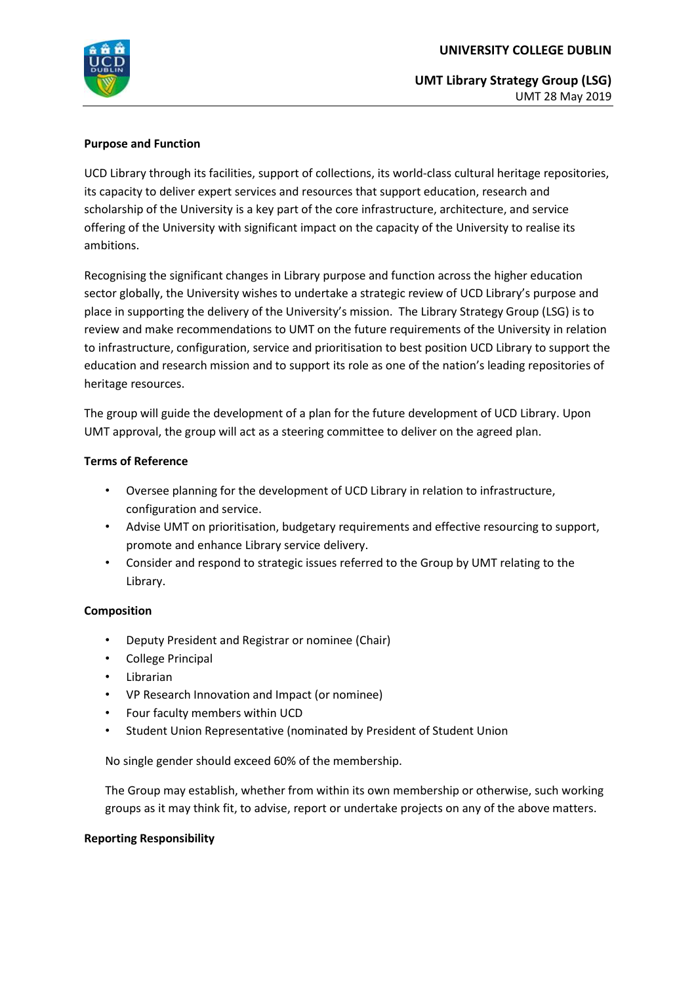

**UMT Library Strategy Group (LSG)**  UMT 28 May 2019

### **Purpose and Function**

UCD Library through its facilities, support of collections, its world-class cultural heritage repositories, its capacity to deliver expert services and resources that support education, research and scholarship of the University is a key part of the core infrastructure, architecture, and service offering of the University with significant impact on the capacity of the University to realise its ambitions.

Recognising the significant changes in Library purpose and function across the higher education sector globally, the University wishes to undertake a strategic review of UCD Library's purpose and place in supporting the delivery of the University's mission. The Library Strategy Group (LSG) is to review and make recommendations to UMT on the future requirements of the University in relation to infrastructure, configuration, service and prioritisation to best position UCD Library to support the education and research mission and to support its role as one of the nation's leading repositories of heritage resources.

The group will guide the development of a plan for the future development of UCD Library. Upon UMT approval, the group will act as a steering committee to deliver on the agreed plan.

#### **Terms of Reference**

- Oversee planning for the development of UCD Library in relation to infrastructure, configuration and service.
- Advise UMT on prioritisation, budgetary requirements and effective resourcing to support, promote and enhance Library service delivery.
- Consider and respond to strategic issues referred to the Group by UMT relating to the Library.

#### **Composition**

- Deputy President and Registrar or nominee (Chair)
- College Principal
- Librarian
- VP Research Innovation and Impact (or nominee)
- Four faculty members within UCD
- Student Union Representative (nominated by President of Student Union

No single gender should exceed 60% of the membership.

The Group may establish, whether from within its own membership or otherwise, such working groups as it may think fit, to advise, report or undertake projects on any of the above matters.

#### **Reporting Responsibility**